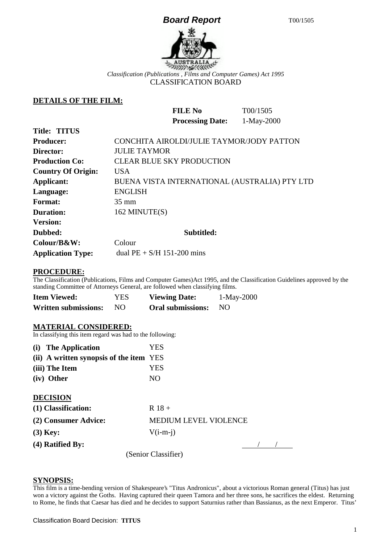## **Board Report** T00/1505



CLASSIFICATION BOARD

**FILE No** T00/1505

## **DETAILS OF THE FILM:**

|                           | 1-May-2000<br><b>Processing Date:</b>         |
|---------------------------|-----------------------------------------------|
| <b>Title: TITUS</b>       |                                               |
| <b>Producer:</b>          | CONCHITA AIROLDI/JULIE TAYMOR/JODY PATTON     |
| Director:                 | <b>JULIE TAYMOR</b>                           |
| <b>Production Co:</b>     | <b>CLEAR BLUE SKY PRODUCTION</b>              |
| <b>Country Of Origin:</b> | <b>USA</b>                                    |
| Applicant:                | BUENA VISTA INTERNATIONAL (AUSTRALIA) PTY LTD |
| Language:                 | <b>ENGLISH</b>                                |
| <b>Format:</b>            | $35 \text{ mm}$                               |
| <b>Duration:</b>          | 162 MINUTE(S)                                 |
| <b>Version:</b>           |                                               |
| Dubbed:                   | Subtitled:                                    |
| Colour/B&W:               | Colour                                        |
| <b>Application Type:</b>  | dual $PE + S/H$ 151-200 mins                  |

#### **PROCEDURE:**

The Classification (Publications, Films and Computer Games)Act 1995, and the Classification Guidelines approved by the standing Committee of Attorneys General, are followed when classifying films.

| <b>Item Viewed:</b>         | YES. | <b>Viewing Date:</b>     | $1-May-2000$ |
|-----------------------------|------|--------------------------|--------------|
| <b>Written submissions:</b> | NO.  | <b>Oral submissions:</b> | - NO         |

### **MATERIAL CONSIDERED:**

In classifying this item regard was had to the following:

| (i) The Application                     | YES                   |  |  |
|-----------------------------------------|-----------------------|--|--|
| (ii) A written synopsis of the item YES |                       |  |  |
| (iii) The Item                          | YES                   |  |  |
| (iv) Other                              | N <sub>O</sub>        |  |  |
| <b>DECISION</b>                         |                       |  |  |
| (1) Classification:                     | $R$ 18 +              |  |  |
| (2) Consumer Advice:                    | MEDIUM LEVEL VIOLENCE |  |  |
| $(3)$ Key:                              | $V(i-m-i)$            |  |  |
| (4) Ratified By:                        |                       |  |  |
|                                         | (Senior Classifier)   |  |  |

#### **SYNOPSIS:**

This film is a time-bending version of Shakespeare's "Titus Andronicus", about a victorious Roman general (Titus) has just won a victory against the Goths. Having captured their queen Tamora and her three sons, he sacrifices the eldest. Returning to Rome, he finds that Caesar has died and he decides to support Saturnius rather than Bassianus, as the next Emperor. Titus'